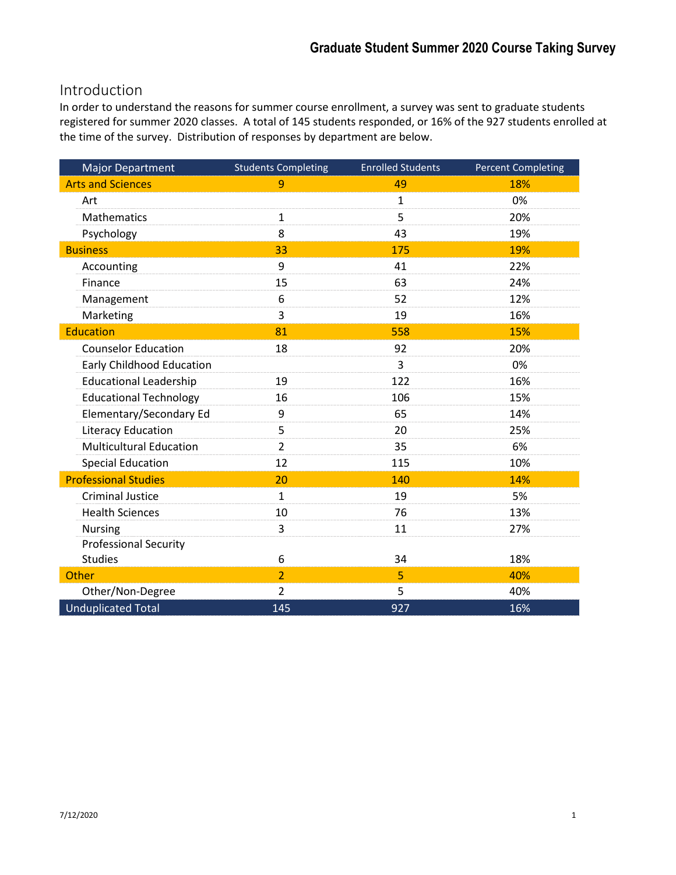# Introduction

In order to understand the reasons for summer course enrollment, a survey was sent to graduate students registered for summer 2020 classes. A total of 145 students responded, or 16% of the 927 students enrolled at the time of the survey. Distribution of responses by department are below.

| <b>Major Department</b>          | <b>Students Completing</b> | <b>Enrolled Students</b> | <b>Percent Completing</b> |
|----------------------------------|----------------------------|--------------------------|---------------------------|
| <b>Arts and Sciences</b>         | 9                          | 49                       | 18%                       |
| Art                              |                            | $\mathbf 1$              | 0%                        |
| Mathematics                      | $\mathbf{1}$               | 5                        | 20%                       |
| Psychology                       | 8                          | 43                       | 19%                       |
| <b>Business</b>                  | 33                         | 175                      | 19%                       |
| Accounting                       | 9                          | 41                       | 22%                       |
| Finance                          | 15                         | 63                       | 24%                       |
| Management                       | 6                          | 52                       | 12%                       |
| Marketing                        | 3                          | 19                       | 16%                       |
| <b>Education</b>                 | 81                         | 558                      | 15%                       |
| <b>Counselor Education</b>       | 18                         | 92                       | 20%                       |
| <b>Early Childhood Education</b> |                            | 3                        | 0%                        |
| <b>Educational Leadership</b>    | 19                         | 122                      | 16%                       |
| <b>Educational Technology</b>    | 16                         | 106                      | 15%                       |
| Elementary/Secondary Ed          | 9                          | 65                       | 14%                       |
| <b>Literacy Education</b>        | 5                          | 20                       | 25%                       |
| <b>Multicultural Education</b>   | $\overline{2}$             | 35                       | 6%                        |
| <b>Special Education</b>         | 12                         | 115                      | 10%                       |
| <b>Professional Studies</b>      | 20                         | 140                      | 14%                       |
| <b>Criminal Justice</b>          | $\mathbf{1}$               | 19                       | 5%                        |
| <b>Health Sciences</b>           | 10                         | 76                       | 13%                       |
| <b>Nursing</b>                   | 3                          | 11                       | 27%                       |
| <b>Professional Security</b>     |                            |                          |                           |
| <b>Studies</b>                   | 6                          | 34                       | 18%                       |
| Other                            | $\overline{2}$             | 5                        | 40%                       |
| Other/Non-Degree                 | $\overline{2}$             | 5                        | 40%                       |
| <b>Unduplicated Total</b>        | 145                        | 927                      | 16%                       |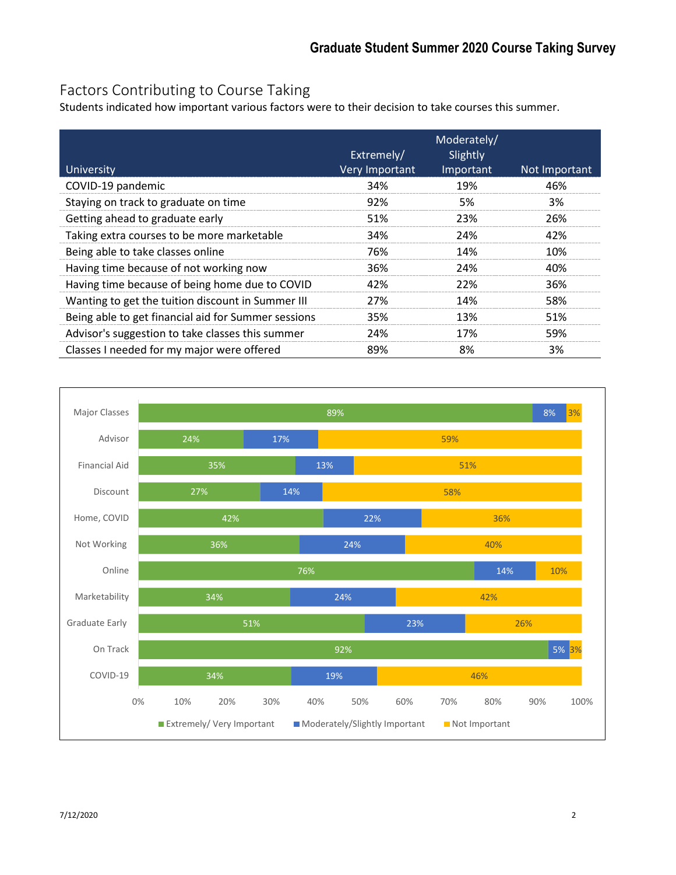# Factors Contributing to Course Taking

Students indicated how important various factors were to their decision to take courses this summer.

| University                                          | Extremely/<br><b>Very Important</b> | Moderately/<br>Slightly<br>Important | Not Important |
|-----------------------------------------------------|-------------------------------------|--------------------------------------|---------------|
| COVID-19 pandemic                                   | 34%                                 | 19%                                  | 46%           |
| Staying on track to graduate on time                | 92%                                 | 5%                                   | 3%            |
| Getting ahead to graduate early                     | 51%                                 | 23%                                  | 26%           |
| Taking extra courses to be more marketable          | 34%                                 | 24%                                  | 42%           |
| Being able to take classes online                   | 76%                                 | 14%                                  | 10%           |
| Having time because of not working now              | 36%                                 | 24%                                  | 40%           |
| Having time because of being home due to COVID      | 42%                                 | 22%                                  | 36%           |
| Wanting to get the tuition discount in Summer III   | 27%                                 | 14%                                  | 58%           |
| Being able to get financial aid for Summer sessions | 35%                                 | 13%                                  | 51%           |
| Advisor's suggestion to take classes this summer    | 24%                                 | 17%                                  | 59%           |
| Classes I needed for my major were offered          | 89%                                 | 8%                                   | 3%            |

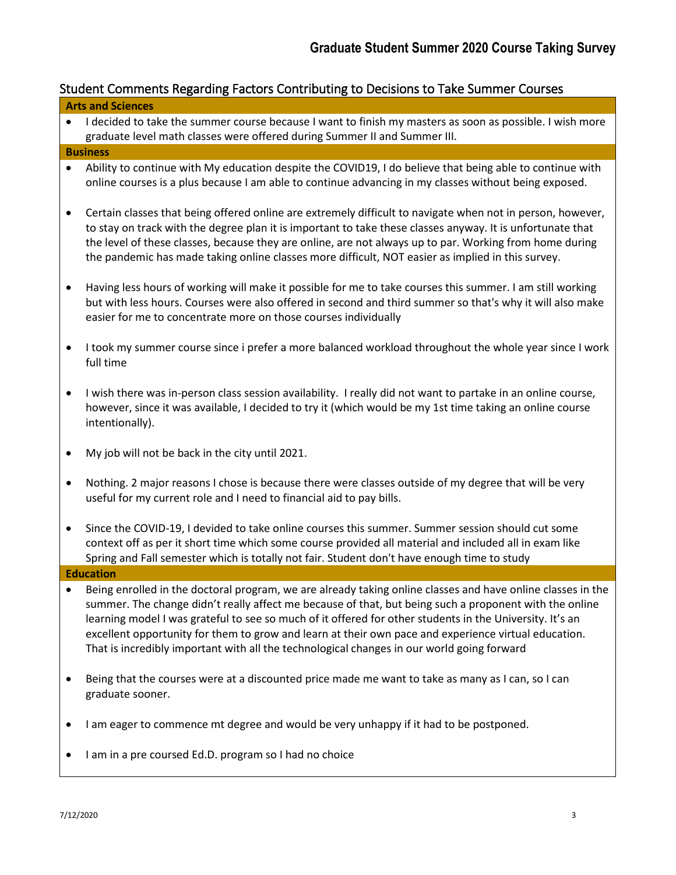# Student Comments Regarding Factors Contributing to Decisions to Take Summer Courses

|           | Student Comments Regarding Factors Contributing to Decisions to Take Summer Courses                                                                                                                                                                                                                                                                                                                                                                                                                                                     |
|-----------|-----------------------------------------------------------------------------------------------------------------------------------------------------------------------------------------------------------------------------------------------------------------------------------------------------------------------------------------------------------------------------------------------------------------------------------------------------------------------------------------------------------------------------------------|
|           | <b>Arts and Sciences</b>                                                                                                                                                                                                                                                                                                                                                                                                                                                                                                                |
| $\bullet$ | I decided to take the summer course because I want to finish my masters as soon as possible. I wish more<br>graduate level math classes were offered during Summer II and Summer III.                                                                                                                                                                                                                                                                                                                                                   |
|           | <b>Business</b>                                                                                                                                                                                                                                                                                                                                                                                                                                                                                                                         |
| $\bullet$ | Ability to continue with My education despite the COVID19, I do believe that being able to continue with<br>online courses is a plus because I am able to continue advancing in my classes without being exposed.                                                                                                                                                                                                                                                                                                                       |
| $\bullet$ | Certain classes that being offered online are extremely difficult to navigate when not in person, however,<br>to stay on track with the degree plan it is important to take these classes anyway. It is unfortunate that<br>the level of these classes, because they are online, are not always up to par. Working from home during<br>the pandemic has made taking online classes more difficult, NOT easier as implied in this survey.                                                                                                |
| $\bullet$ | Having less hours of working will make it possible for me to take courses this summer. I am still working<br>but with less hours. Courses were also offered in second and third summer so that's why it will also make<br>easier for me to concentrate more on those courses individually                                                                                                                                                                                                                                               |
| $\bullet$ | I took my summer course since i prefer a more balanced workload throughout the whole year since I work<br>full time                                                                                                                                                                                                                                                                                                                                                                                                                     |
| $\bullet$ | I wish there was in-person class session availability. I really did not want to partake in an online course,<br>however, since it was available, I decided to try it (which would be my 1st time taking an online course<br>intentionally).                                                                                                                                                                                                                                                                                             |
| $\bullet$ | My job will not be back in the city until 2021.                                                                                                                                                                                                                                                                                                                                                                                                                                                                                         |
| $\bullet$ | Nothing. 2 major reasons I chose is because there were classes outside of my degree that will be very<br>useful for my current role and I need to financial aid to pay bills.                                                                                                                                                                                                                                                                                                                                                           |
| $\bullet$ | Since the COVID-19, I devided to take online courses this summer. Summer session should cut some<br>context off as per it short time which some course provided all material and included all in exam like<br>Spring and Fall semester which is totally not fair. Student don't have enough time to study                                                                                                                                                                                                                               |
|           | <b>Education</b>                                                                                                                                                                                                                                                                                                                                                                                                                                                                                                                        |
|           | Being enrolled in the doctoral program, we are already taking online classes and have online classes in the<br>summer. The change didn't really affect me because of that, but being such a proponent with the online<br>learning model I was grateful to see so much of it offered for other students in the University. It's an<br>excellent opportunity for them to grow and learn at their own pace and experience virtual education.<br>That is incredibly important with all the technological changes in our world going forward |
| $\bullet$ | Being that the courses were at a discounted price made me want to take as many as I can, so I can<br>graduate sooner.                                                                                                                                                                                                                                                                                                                                                                                                                   |
| $\bullet$ | I am eager to commence mt degree and would be very unhappy if it had to be postponed.                                                                                                                                                                                                                                                                                                                                                                                                                                                   |
|           | I am in a pre coursed Ed.D. program so I had no choice                                                                                                                                                                                                                                                                                                                                                                                                                                                                                  |
|           |                                                                                                                                                                                                                                                                                                                                                                                                                                                                                                                                         |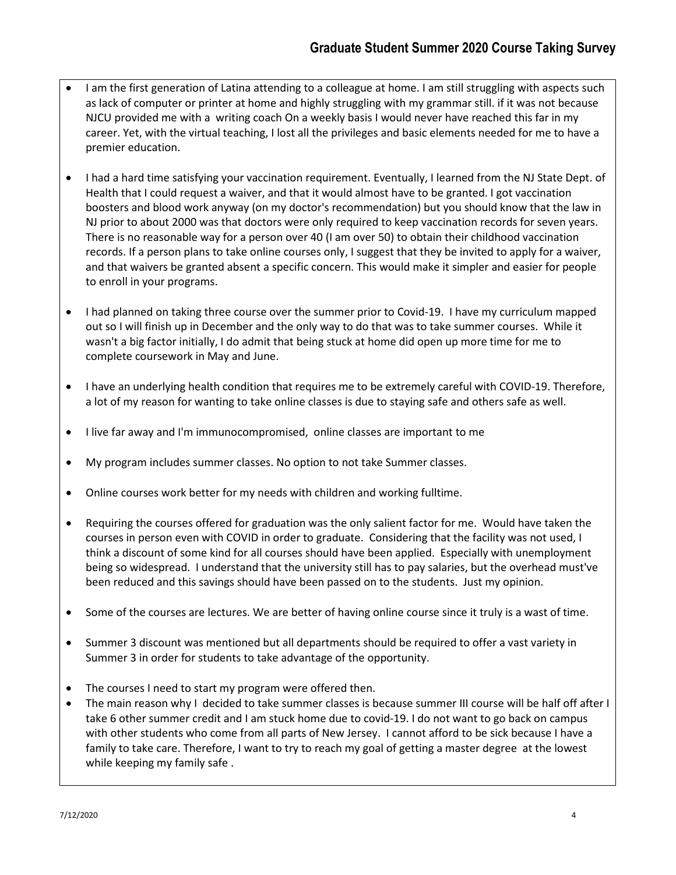- I am the first generation of Latina attending to a colleague at home. I am still struggling with aspects such as lack of computer or printer at home and highly struggling with my grammar still. if it was not because NJCU provided me with a writing coach On a weekly basis I would never have reached this far in my career. Yet, with the virtual teaching, I lost all the privileges and basic elements needed for me to have a premier education.
- I had a hard time satisfying your vaccination requirement. Eventually, I learned from the NJ State Dept. of Health that I could request a waiver, and that it would almost have to be granted. I got vaccination boosters and blood work anyway (on my doctor's recommendation) but you should know that the law in NJ prior to about 2000 was that doctors were only required to keep vaccination records for seven years. There is no reasonable way for a person over 40 (I am over 50) to obtain their childhood vaccination records. If a person plans to take online courses only, I suggest that they be invited to apply for a waiver, and that waivers be granted absent a specific concern. This would make it simpler and easier for people to enroll in your programs.
- I had planned on taking three course over the summer prior to Covid-19. I have my curriculum mapped out so I will finish up in December and the only way to do that was to take summer courses. While it wasn't a big factor initially, I do admit that being stuck at home did open up more time for me to complete coursework in May and June.
- I have an underlying health condition that requires me to be extremely careful with COVID-19. Therefore, a lot of my reason for wanting to take online classes is due to staying safe and others safe as well.
- I live far away and I'm immunocompromised, online classes are important to me
- My program includes summer classes. No option to not take Summer classes.
- Online courses work better for my needs with children and working fulltime.
- Requiring the courses offered for graduation was the only salient factor for me. Would have taken the courses in person even with COVID in order to graduate. Considering that the facility was not used, I think a discount of some kind for all courses should have been applied. Especially with unemployment being so widespread. I understand that the university still has to pay salaries, but the overhead must've been reduced and this savings should have been passed on to the students. Just my opinion.
- Some of the courses are lectures. We are better of having online course since it truly is a wast of time.
- Summer 3 discount was mentioned but all departments should be required to offer a vast variety in Summer 3 in order for students to take advantage of the opportunity.
- The courses I need to start my program were offered then.
- The main reason why I decided to take summer classes is because summer III course will be half off after I take 6 other summer credit and I am stuck home due to covid-19. I do not want to go back on campus with other students who come from all parts of New Jersey. I cannot afford to be sick because I have a family to take care. Therefore, I want to try to reach my goal of getting a master degree at the lowest while keeping my family safe .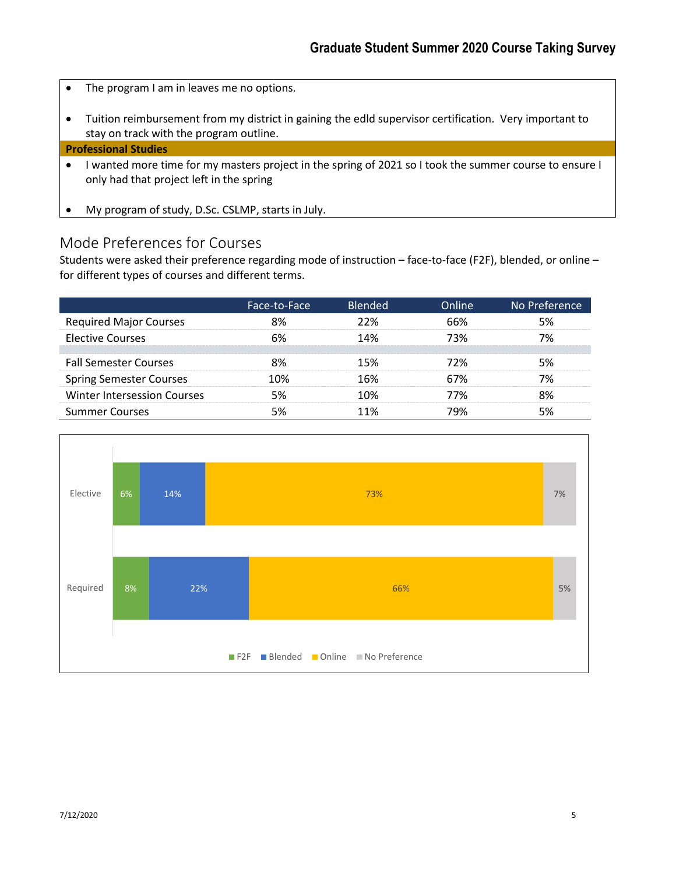- The program I am in leaves me no options.
- Tuition reimbursement from my district in gaining the edld supervisor certification. Very important to stay on track with the program outline.

### **Professional Studies**

- I wanted more time for my masters project in the spring of 2021 so I took the summer course to ensure I only had that project left in the spring
- My program of study, D.Sc. CSLMP, starts in July.

### Mode Preferences for Courses

Students were asked their preference regarding mode of instruction – face-to-face (F2F), blended, or online – for different types of courses and different terms.

|                                | Face-to-Face | <b>Blended</b> | <b>Dnline</b> | No Preference |
|--------------------------------|--------------|----------------|---------------|---------------|
| <b>Required Major Courses</b>  |              | ንን%            | 66%           |               |
| <b>Elective Courses</b>        |              | <b>4%</b>      | 73%           |               |
| <b>Fall Semester Courses</b>   |              |                |               |               |
| <b>Spring Semester Courses</b> |              |                |               |               |
| Winter Intersession Courses    |              |                | איז י         |               |
| <b>Summer Courses</b>          |              |                |               |               |

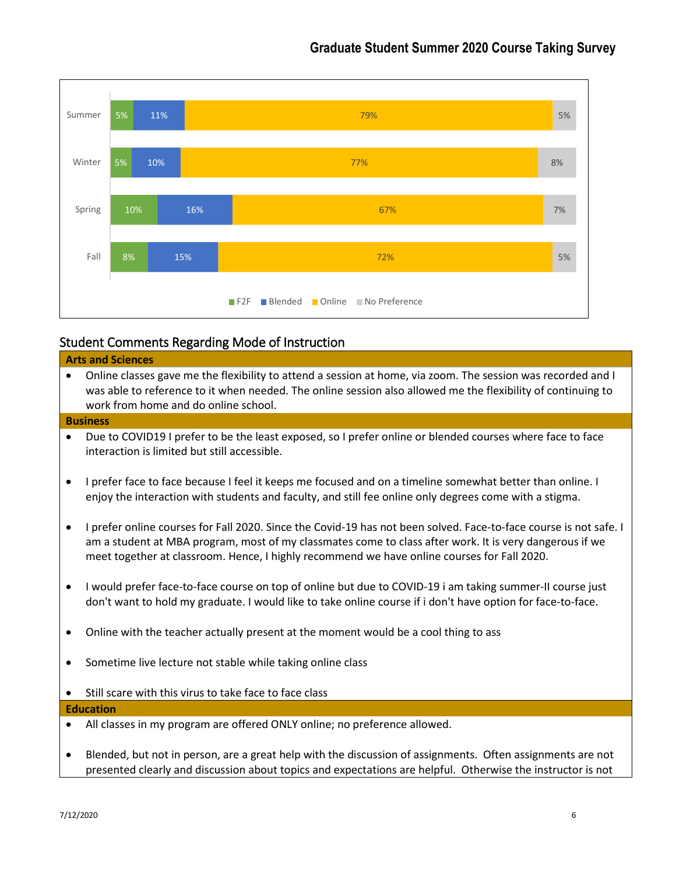

### Student Comments Regarding Mode of Instruction

# **Arts and Sciences**

• Online classes gave me the flexibility to attend a session at home, via zoom. The session was recorded and I was able to reference to it when needed. The online session also allowed me the flexibility of continuing to work from home and do online school.

### **Business**

- Due to COVID19 I prefer to be the least exposed, so I prefer online or blended courses where face to face interaction is limited but still accessible.
- I prefer face to face because I feel it keeps me focused and on a timeline somewhat better than online. I enjoy the interaction with students and faculty, and still fee online only degrees come with a stigma.
- I prefer online courses for Fall 2020. Since the Covid-19 has not been solved. Face-to-face course is not safe. I am a student at MBA program, most of my classmates come to class after work. It is very dangerous if we meet together at classroom. Hence, I highly recommend we have online courses for Fall 2020.
- I would prefer face-to-face course on top of online but due to COVID-19 i am taking summer-II course just don't want to hold my graduate. I would like to take online course if i don't have option for face-to-face.
- Online with the teacher actually present at the moment would be a cool thing to ass
- Sometime live lecture not stable while taking online class
- Still scare with this virus to take face to face class

### **Education**

- All classes in my program are offered ONLY online; no preference allowed.
- Blended, but not in person, are a great help with the discussion of assignments. Often assignments are not presented clearly and discussion about topics and expectations are helpful. Otherwise the instructor is not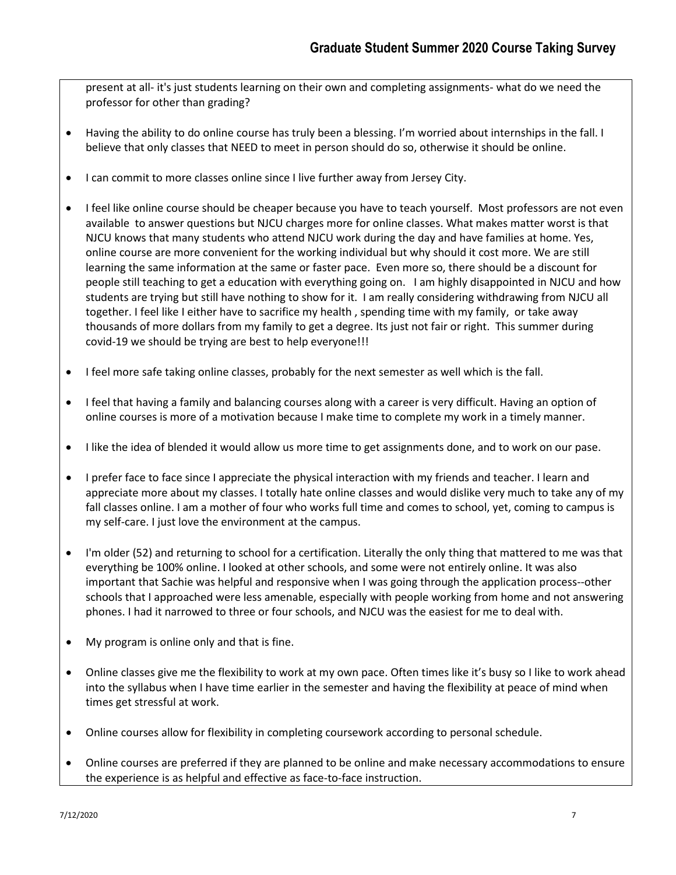present at all- it's just students learning on their own and completing assignments- what do we need the professor for other than grading?

- Having the ability to do online course has truly been a blessing. I'm worried about internships in the fall. I believe that only classes that NEED to meet in person should do so, otherwise it should be online.
- I can commit to more classes online since I live further away from Jersey City.
- I feel like online course should be cheaper because you have to teach yourself. Most professors are not even available to answer questions but NJCU charges more for online classes. What makes matter worst is that NJCU knows that many students who attend NJCU work during the day and have families at home. Yes, online course are more convenient for the working individual but why should it cost more. We are still learning the same information at the same or faster pace. Even more so, there should be a discount for people still teaching to get a education with everything going on. I am highly disappointed in NJCU and how students are trying but still have nothing to show for it. I am really considering withdrawing from NJCU all together. I feel like I either have to sacrifice my health , spending time with my family, or take away thousands of more dollars from my family to get a degree. Its just not fair or right. This summer during covid-19 we should be trying are best to help everyone!!!
- I feel more safe taking online classes, probably for the next semester as well which is the fall.
- I feel that having a family and balancing courses along with a career is very difficult. Having an option of online courses is more of a motivation because I make time to complete my work in a timely manner.
- I like the idea of blended it would allow us more time to get assignments done, and to work on our pase.
- I prefer face to face since I appreciate the physical interaction with my friends and teacher. I learn and appreciate more about my classes. I totally hate online classes and would dislike very much to take any of my fall classes online. I am a mother of four who works full time and comes to school, yet, coming to campus is my self-care. I just love the environment at the campus.
- I'm older (52) and returning to school for a certification. Literally the only thing that mattered to me was that everything be 100% online. I looked at other schools, and some were not entirely online. It was also important that Sachie was helpful and responsive when I was going through the application process--other schools that I approached were less amenable, especially with people working from home and not answering phones. I had it narrowed to three or four schools, and NJCU was the easiest for me to deal with.
- My program is online only and that is fine.
- Online classes give me the flexibility to work at my own pace. Often times like it's busy so I like to work ahead into the syllabus when I have time earlier in the semester and having the flexibility at peace of mind when times get stressful at work.
- Online courses allow for flexibility in completing coursework according to personal schedule.
- Online courses are preferred if they are planned to be online and make necessary accommodations to ensure the experience is as helpful and effective as face-to-face instruction.